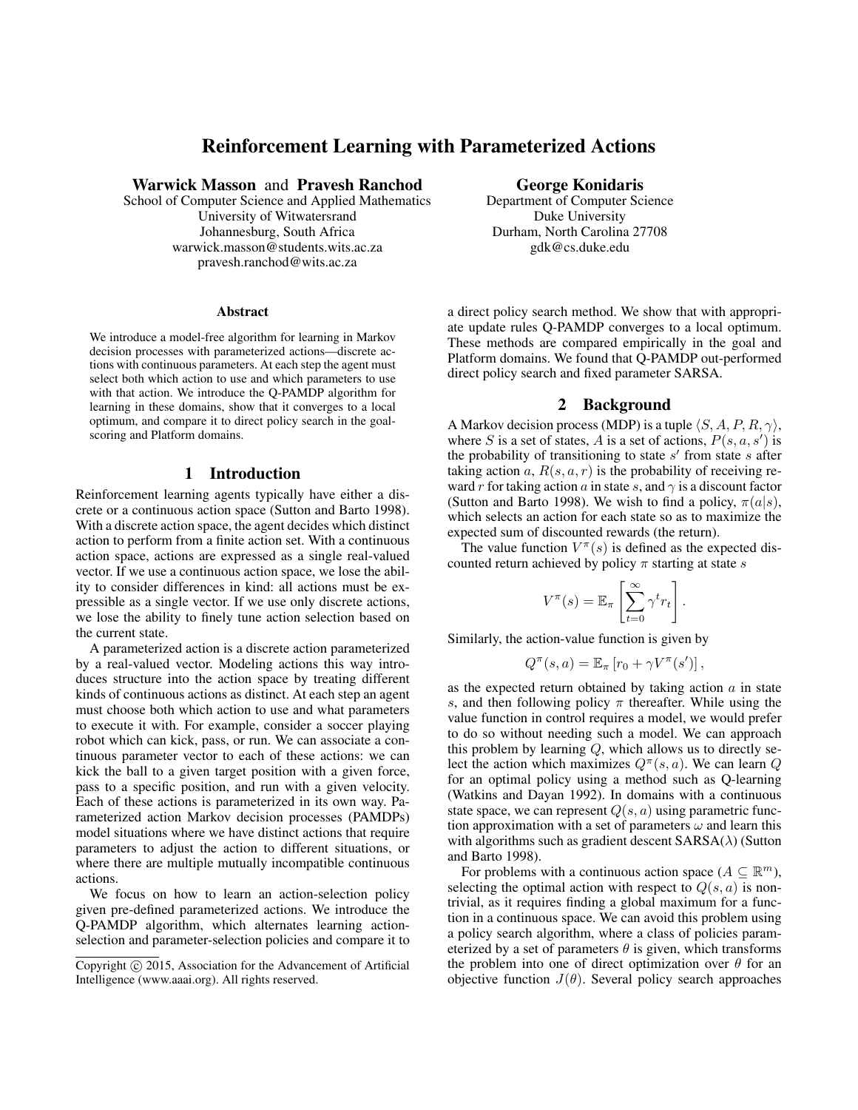# Reinforcement Learning with Parameterized Actions

Warwick Masson and Pravesh Ranchod

School of Computer Science and Applied Mathematics University of Witwatersrand Johannesburg, South Africa warwick.masson@students.wits.ac.za pravesh.ranchod@wits.ac.za

#### Abstract

We introduce a model-free algorithm for learning in Markov decision processes with parameterized actions—discrete actions with continuous parameters. At each step the agent must select both which action to use and which parameters to use with that action. We introduce the Q-PAMDP algorithm for learning in these domains, show that it converges to a local optimum, and compare it to direct policy search in the goalscoring and Platform domains.

#### 1 Introduction

Reinforcement learning agents typically have either a discrete or a continuous action space (Sutton and Barto 1998). With a discrete action space, the agent decides which distinct action to perform from a finite action set. With a continuous action space, actions are expressed as a single real-valued vector. If we use a continuous action space, we lose the ability to consider differences in kind: all actions must be expressible as a single vector. If we use only discrete actions, we lose the ability to finely tune action selection based on the current state.

A parameterized action is a discrete action parameterized by a real-valued vector. Modeling actions this way introduces structure into the action space by treating different kinds of continuous actions as distinct. At each step an agent must choose both which action to use and what parameters to execute it with. For example, consider a soccer playing robot which can kick, pass, or run. We can associate a continuous parameter vector to each of these actions: we can kick the ball to a given target position with a given force, pass to a specific position, and run with a given velocity. Each of these actions is parameterized in its own way. Parameterized action Markov decision processes (PAMDPs) model situations where we have distinct actions that require parameters to adjust the action to different situations, or where there are multiple mutually incompatible continuous actions.

We focus on how to learn an action-selection policy given pre-defined parameterized actions. We introduce the Q-PAMDP algorithm, which alternates learning actionselection and parameter-selection policies and compare it to George Konidaris

Department of Computer Science Duke University Durham, North Carolina 27708 gdk@cs.duke.edu

a direct policy search method. We show that with appropriate update rules Q-PAMDP converges to a local optimum. These methods are compared empirically in the goal and Platform domains. We found that Q-PAMDP out-performed direct policy search and fixed parameter SARSA.

#### 2 Background

A Markov decision process (MDP) is a tuple  $\langle S, A, P, R, \gamma \rangle$ , where S is a set of states, A is a set of actions,  $P(s, a, s')$  is the probability of transitioning to state  $s'$  from state  $s$  after taking action a,  $R(s, a, r)$  is the probability of receiving reward r for taking action a in state s, and  $\gamma$  is a discount factor (Sutton and Barto 1998). We wish to find a policy,  $\pi(a|s)$ , which selects an action for each state so as to maximize the expected sum of discounted rewards (the return).

The value function  $V^{\pi}(s)$  is defined as the expected discounted return achieved by policy  $\pi$  starting at state s

$$
V^{\pi}(s) = \mathbb{E}_{\pi} \left[ \sum_{t=0}^{\infty} \gamma^{t} r_{t} \right].
$$

Similarly, the action-value function is given by

$$
Q^{\pi}(s, a) = \mathbb{E}_{\pi} [r_0 + \gamma V^{\pi}(s')] ,
$$

as the expected return obtained by taking action  $a$  in state s, and then following policy  $\pi$  thereafter. While using the value function in control requires a model, we would prefer to do so without needing such a model. We can approach this problem by learning  $Q$ , which allows us to directly select the action which maximizes  $Q^{\pi}(s, a)$ . We can learn Q for an optimal policy using a method such as Q-learning (Watkins and Dayan 1992). In domains with a continuous state space, we can represent  $Q(s, a)$  using parametric function approximation with a set of parameters  $\omega$  and learn this with algorithms such as gradient descent  $SARSA(\lambda)$  (Sutton and Barto 1998).

For problems with a continuous action space ( $A \subseteq \mathbb{R}^m$ ), selecting the optimal action with respect to  $Q(s, a)$  is nontrivial, as it requires finding a global maximum for a function in a continuous space. We can avoid this problem using a policy search algorithm, where a class of policies parameterized by a set of parameters  $\theta$  is given, which transforms the problem into one of direct optimization over  $\theta$  for an objective function  $J(\theta)$ . Several policy search approaches

Copyright  $\odot$  2015, Association for the Advancement of Artificial Intelligence (www.aaai.org). All rights reserved.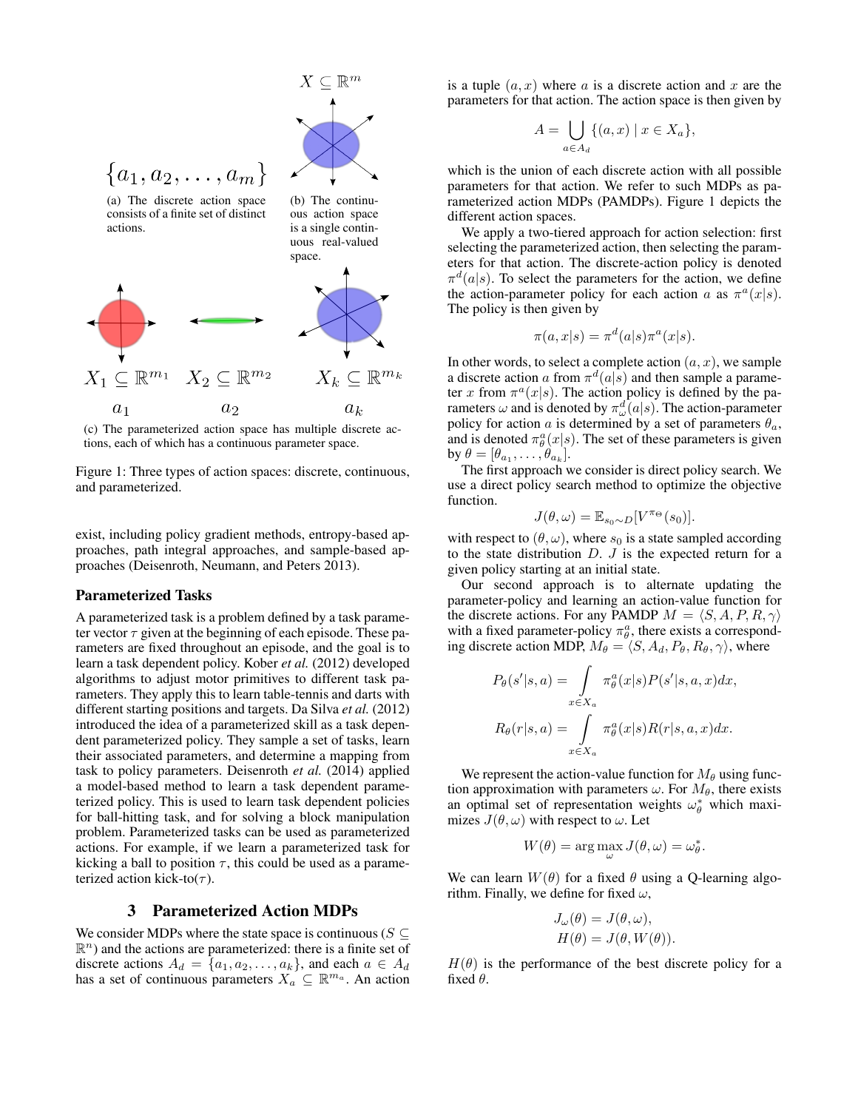

(c) The parameterized action space has multiple discrete actions, each of which has a continuous parameter space.

Figure 1: Three types of action spaces: discrete, continuous, and parameterized.

exist, including policy gradient methods, entropy-based approaches, path integral approaches, and sample-based approaches (Deisenroth, Neumann, and Peters 2013).

#### Parameterized Tasks

A parameterized task is a problem defined by a task parameter vector  $\tau$  given at the beginning of each episode. These parameters are fixed throughout an episode, and the goal is to learn a task dependent policy. Kober *et al.* (2012) developed algorithms to adjust motor primitives to different task parameters. They apply this to learn table-tennis and darts with different starting positions and targets. Da Silva *et al.* (2012) introduced the idea of a parameterized skill as a task dependent parameterized policy. They sample a set of tasks, learn their associated parameters, and determine a mapping from task to policy parameters. Deisenroth *et al.* (2014) applied a model-based method to learn a task dependent parameterized policy. This is used to learn task dependent policies for ball-hitting task, and for solving a block manipulation problem. Parameterized tasks can be used as parameterized actions. For example, if we learn a parameterized task for kicking a ball to position  $\tau$ , this could be used as a parameterized action kick-to $(\tau)$ .

#### 3 Parameterized Action MDPs

We consider MDPs where the state space is continuous ( $S \subseteq$  $\mathbb{R}^n$ ) and the actions are parameterized: there is a finite set of discrete actions  $A_d = \{a_1, a_2, \ldots, a_k\}$ , and each  $a \in A_d$ has a set of continuous parameters  $X_a \subseteq \mathbb{R}^{m_a}$ . An action

is a tuple  $(a, x)$  where a is a discrete action and x are the parameters for that action. The action space is then given by

$$
A = \bigcup_{a \in A_d} \{ (a, x) \mid x \in X_a \},\
$$

which is the union of each discrete action with all possible parameters for that action. We refer to such MDPs as parameterized action MDPs (PAMDPs). Figure 1 depicts the different action spaces.

We apply a two-tiered approach for action selection: first selecting the parameterized action, then selecting the parameters for that action. The discrete-action policy is denoted  $\pi^d(a|s)$ . To select the parameters for the action, we define the action-parameter policy for each action a as  $\pi^a(x|s)$ . The policy is then given by

$$
\pi(a, x|s) = \pi^d(a|s)\pi^a(x|s).
$$

In other words, to select a complete action  $(a, x)$ , we sample a discrete action a from  $\pi^d(a|s)$  and then sample a parameter x from  $\pi^a(x|s)$ . The action policy is defined by the parameters  $\omega$  and is denoted by  $\pi_{\omega}^d(a|s)$ . The action-parameter policy for action a is determined by a set of parameters  $\theta_a$ , and is denoted  $\pi_\theta^a(x|s)$ . The set of these parameters is given by  $\theta = [\theta_{a_1}, \dots, \theta_{a_k}].$ 

The first approach we consider is direct policy search. We use a direct policy search method to optimize the objective function.

$$
J(\theta,\omega) = \mathbb{E}_{s_0 \sim D}[V^{\pi_{\Theta}}(s_0)].
$$

with respect to  $(\theta, \omega)$ , where  $s_0$  is a state sampled according to the state distribution  $D. J$  is the expected return for a given policy starting at an initial state.

Our second approach is to alternate updating the parameter-policy and learning an action-value function for the discrete actions. For any PAMDP  $M = \langle S, A, P, R, \gamma \rangle$ with a fixed parameter-policy  $\pi_\theta^a$ , there exists a corresponding discrete action MDP,  $M_{\theta} = \langle S, A_d, P_{\theta}, R_{\theta}, \gamma \rangle$ , where

$$
P_{\theta}(s'|s, a) = \int_{x \in X_a} \pi_{\theta}^a(x|s) P(s'|s, a, x) dx,
$$
  

$$
R_{\theta}(r|s, a) = \int_{x \in X_a} \pi_{\theta}^a(x|s) R(r|s, a, x) dx.
$$

We represent the action-value function for  $M_{\theta}$  using function approximation with parameters  $\omega$ . For  $M_{\theta}$ , there exists an optimal set of representation weights  $\omega_{\theta}^*$  which maximizes  $J(\theta, \omega)$  with respect to  $\omega$ . Let

$$
W(\theta) = \arg\max_{\omega} J(\theta, \omega) = \omega_{\theta}^*.
$$

We can learn  $W(\theta)$  for a fixed  $\theta$  using a Q-learning algorithm. Finally, we define for fixed  $\omega$ ,

$$
J_{\omega}(\theta) = J(\theta, \omega),
$$
  

$$
H(\theta) = J(\theta, W(\theta)).
$$

 $H(\theta)$  is the performance of the best discrete policy for a fixed  $\theta$ .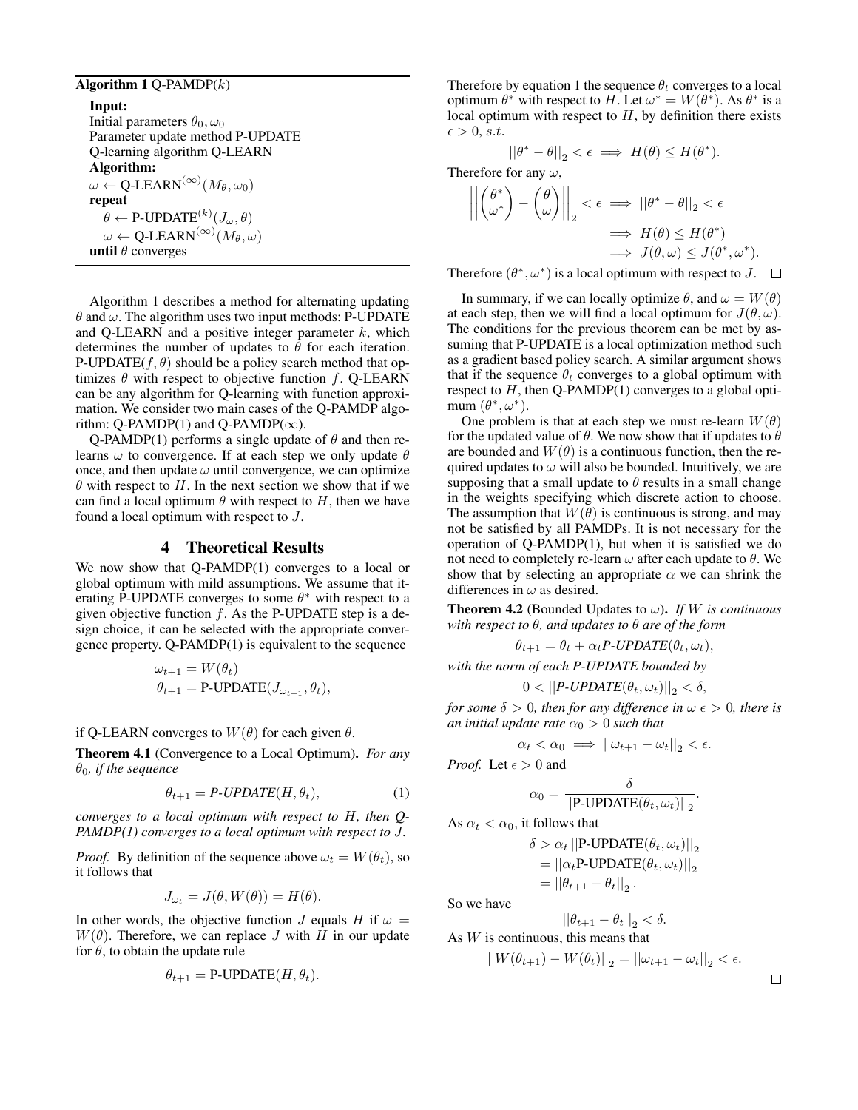#### Algorithm  $1$  Q-PAMDP( $k$ )

Input: Initial parameters  $\theta_0, \omega_0$ Parameter update method P-UPDATE Q-learning algorithm Q-LEARN Algorithm:  $\omega \leftarrow \mathsf{Q}\text{-}\mathsf{LEARN}^{(\infty)}(M_\theta,\omega_0)$ repeat  $\theta \leftarrow \text{P-UPDATE}^{(k)}(J_{\omega}, \theta)$  $\omega \leftarrow \mathsf{Q}\text{-}\mathsf{LEARN}^{(\infty)}(M_\theta,\omega)$ until  $\theta$  converges

Algorithm 1 describes a method for alternating updating  $\theta$  and  $\omega$ . The algorithm uses two input methods: P-UPDATE and Q-LEARN and a positive integer parameter  $k$ , which determines the number of updates to  $\theta$  for each iteration. P-UPDATE( $f, \theta$ ) should be a policy search method that optimizes  $\theta$  with respect to objective function f. Q-LEARN can be any algorithm for Q-learning with function approximation. We consider two main cases of the Q-PAMDP algorithm: Q-PAMDP(1) and Q-PAMDP( $\infty$ ).

Q-PAMDP(1) performs a single update of  $\theta$  and then relearns  $\omega$  to convergence. If at each step we only update  $\theta$ once, and then update  $\omega$  until convergence, we can optimize  $\theta$  with respect to H. In the next section we show that if we can find a local optimum  $\theta$  with respect to H, then we have found a local optimum with respect to J.

### 4 Theoretical Results

We now show that Q-PAMDP(1) converges to a local or global optimum with mild assumptions. We assume that iterating P-UPDATE converges to some  $\theta^*$  with respect to a given objective function  $f$ . As the P-UPDATE step is a design choice, it can be selected with the appropriate convergence property. Q-PAMDP(1) is equivalent to the sequence

$$
\omega_{t+1} = W(\theta_t)
$$
  

$$
\theta_{t+1} = \text{P-UPDATE}(J_{\omega_{t+1}}, \theta_t),
$$

if Q-LEARN converges to  $W(\theta)$  for each given  $\theta$ .

Theorem 4.1 (Convergence to a Local Optimum). *For any*  $\theta_0$ *, if the sequence* 

$$
\theta_{t+1} = P\text{-}UPDATE(H, \theta_t), \tag{1}
$$

*converges to a local optimum with respect to* H*, then Q-PAMDP(1) converges to a local optimum with respect to* J*.*

*Proof.* By definition of the sequence above  $\omega_t = W(\theta_t)$ , so it follows that

$$
J_{\omega_t} = J(\theta, W(\theta)) = H(\theta).
$$

In other words, the objective function J equals H if  $\omega =$  $W(\theta)$ . Therefore, we can replace J with H in our update for  $\theta$ , to obtain the update rule

$$
\theta_{t+1} = \text{P-UPDATE}(H, \theta_t).
$$

Therefore by equation 1 the sequence  $\theta_t$  converges to a local optimum  $\theta^*$  with respect to H. Let  $\omega^* = W(\theta^*)$ . As  $\theta^*$  is a local optimum with respect to  $H$ , by definition there exists  $\epsilon > 0$ , s.t.

$$
||\theta^* - \theta||_2 < \epsilon \implies H(\theta) \leq H(\theta^*).
$$

Therefore for any  $\omega$ ,

$$
\left\| \begin{pmatrix} \theta^* \\ \omega^* \end{pmatrix} - \begin{pmatrix} \theta \\ \omega \end{pmatrix} \right\|_2 < \epsilon \implies ||\theta^* - \theta||_2 < \epsilon
$$
  

$$
\implies H(\theta) \le H(\theta^*)
$$
  

$$
\implies J(\theta, \omega) \le J(\theta^*, \omega^*).
$$

Therefore  $(\theta^*, \omega^*)$  is a local optimum with respect to J.

In summary, if we can locally optimize  $\theta$ , and  $\omega = W(\theta)$ at each step, then we will find a local optimum for  $J(\theta, \omega)$ . The conditions for the previous theorem can be met by assuming that P-UPDATE is a local optimization method such as a gradient based policy search. A similar argument shows that if the sequence  $\theta_t$  converges to a global optimum with respect to  $H$ , then Q-PAMDP(1) converges to a global optimum  $(\theta^*, \omega^*)$ .

One problem is that at each step we must re-learn  $W(\theta)$ for the updated value of  $\theta$ . We now show that if updates to  $\theta$ are bounded and  $W(\theta)$  is a continuous function, then the required updates to  $\omega$  will also be bounded. Intuitively, we are supposing that a small update to  $\theta$  results in a small change in the weights specifying which discrete action to choose. The assumption that  $W(\theta)$  is continuous is strong, and may not be satisfied by all PAMDPs. It is not necessary for the operation of Q-PAMDP(1), but when it is satisfied we do not need to completely re-learn  $\omega$  after each update to  $\theta$ . We show that by selecting an appropriate  $\alpha$  we can shrink the differences in  $\omega$  as desired.

**Theorem 4.2** (Bounded Updates to  $\omega$ ). *If W is continuous with respect to* θ*, and updates to* θ *are of the form*

$$
\theta_{t+1} = \theta_t + \alpha_t P \cdot UPDATE(\theta_t, \omega_t),
$$

*with the norm of each P-UPDATE bounded by*

$$
0 < ||P\text{-}UPDATE(\theta_t, \omega_t)||_2 < \delta,
$$

*for some*  $\delta > 0$ *, then for any difference in*  $\omega \epsilon > 0$ *, there is an initial update rate*  $\alpha_0 > 0$  *such that* 

$$
\alpha_t < \alpha_0 \implies ||\omega_{t+1} - \omega_t||_2 < \epsilon.
$$

δ

.

*Proof.* Let  $\epsilon > 0$  and

$$
\alpha_0 = \frac{1}{\left|\left|\text{P-UPDATE}(\theta_t, \omega_t)\right|\right|_2}
$$

As  $\alpha_t < \alpha_0$ , it follows that

$$
\delta > \alpha_t ||\text{P-UPDATE}(\theta_t, \omega_t)||_2
$$
  
= 
$$
||\alpha_t \text{P-UPDATE}(\theta_t, \omega_t)||_2
$$
  
= 
$$
||\theta_{t+1} - \theta_t||_2.
$$

So we have

 $||\theta_{t+1} - \theta_t||_2 < \delta.$ As  $W$  is continuous, this means that

$$
||W(\theta_{t+1}) - W(\theta_t)||_2 = ||\omega_{t+1} - \omega_t||_2 < \epsilon.
$$

 $\Box$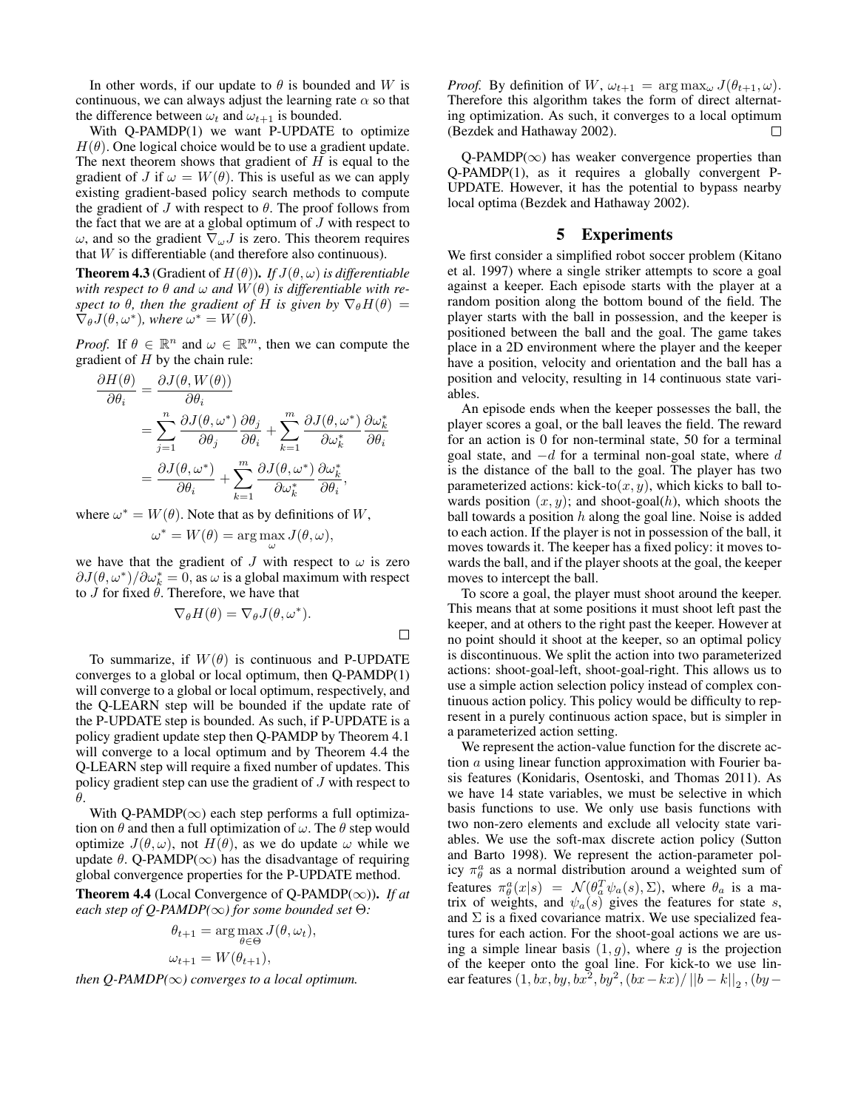In other words, if our update to  $\theta$  is bounded and W is continuous, we can always adjust the learning rate  $\alpha$  so that the difference between  $\omega_t$  and  $\omega_{t+1}$  is bounded.

With Q-PAMDP(1) we want P-UPDATE to optimize  $H(\theta)$ . One logical choice would be to use a gradient update. The next theorem shows that gradient of  $H$  is equal to the gradient of J if  $\omega = W(\theta)$ . This is useful as we can apply existing gradient-based policy search methods to compute the gradient of  $J$  with respect to  $\theta$ . The proof follows from the fact that we are at a global optimum of  $J$  with respect to ω, and so the gradient  $\nabla<sub>ω</sub> J$  is zero. This theorem requires that  $W$  is differentiable (and therefore also continuous).

**Theorem 4.3** (Gradient of  $H(\theta)$ ). *If*  $J(\theta, \omega)$  *is differentiable with respect to*  $\theta$  *and*  $\omega$  *and*  $W(\theta)$  *is differentiable with respect to*  $\theta$ *, then the gradient of* H *is given by*  $\nabla_{\theta}H(\theta)$  =  $\nabla_{\theta} J(\theta, \omega^*)$ , where  $\omega^* = W(\theta)$ .

*Proof.* If  $\theta \in \mathbb{R}^n$  and  $\omega \in \mathbb{R}^m$ , then we can compute the gradient of  $H$  by the chain rule:

$$
\frac{\partial H(\theta)}{\partial \theta_i} = \frac{\partial J(\theta, W(\theta))}{\partial \theta_i} \n= \sum_{j=1}^n \frac{\partial J(\theta, \omega^*)}{\partial \theta_j} \frac{\partial \theta_j}{\partial \theta_i} + \sum_{k=1}^m \frac{\partial J(\theta, \omega^*)}{\partial \omega_k^*} \frac{\partial \omega_k^*}{\partial \theta_i} \n= \frac{\partial J(\theta, \omega^*)}{\partial \theta_i} + \sum_{k=1}^m \frac{\partial J(\theta, \omega^*)}{\partial \omega_k^*} \frac{\partial \omega_k^*}{\partial \theta_i},
$$

where  $\omega^* = W(\theta)$ . Note that as by definitions of W,

$$
\omega^* = W(\theta) = \arg\max_{\omega} J(\theta, \omega),
$$

we have that the gradient of J with respect to  $\omega$  is zero  $\partial J(\theta, \omega^*)/\partial \omega_k^* = 0$ , as  $\omega$  is a global maximum with respect to *J* for fixed  $\hat{\theta}$ . Therefore, we have that

$$
\nabla_{\theta} H(\theta) = \nabla_{\theta} J(\theta, \omega^*).
$$

 $\Box$ 

To summarize, if  $W(\theta)$  is continuous and P-UPDATE converges to a global or local optimum, then Q-PAMDP(1) will converge to a global or local optimum, respectively, and the Q-LEARN step will be bounded if the update rate of the P-UPDATE step is bounded. As such, if P-UPDATE is a policy gradient update step then Q-PAMDP by Theorem 4.1 will converge to a local optimum and by Theorem 4.4 the Q-LEARN step will require a fixed number of updates. This policy gradient step can use the gradient of J with respect to θ.

With Q-PAMDP( $\infty$ ) each step performs a full optimization on  $\theta$  and then a full optimization of  $\omega$ . The  $\theta$  step would optimize  $J(\theta, \omega)$ , not  $H(\theta)$ , as we do update  $\omega$  while we update  $\theta$ . Q-PAMDP( $\infty$ ) has the disadvantage of requiring global convergence properties for the P-UPDATE method.

**Theorem 4.4** (Local Convergence of Q-PAMDP( $\infty$ )). *If at each step of Q-PAMDP(*∞*) for some bounded set* Θ*:*

$$
\theta_{t+1} = \arg \max_{\theta \in \Theta} J(\theta, \omega_t),
$$
  

$$
\omega_{t+1} = W(\theta_{t+1}),
$$

*then Q-PAMDP(* $\infty$ *) converges to a local optimum.* 

*Proof.* By definition of W,  $\omega_{t+1} = \arg \max_{\omega} J(\theta_{t+1}, \omega)$ . Therefore this algorithm takes the form of direct alternating optimization. As such, it converges to a local optimum (Bezdek and Hathaway 2002). П

 $Q-PAMDP(\infty)$  has weaker convergence properties than Q-PAMDP(1), as it requires a globally convergent P-UPDATE. However, it has the potential to bypass nearby local optima (Bezdek and Hathaway 2002).

#### 5 Experiments

We first consider a simplified robot soccer problem (Kitano et al. 1997) where a single striker attempts to score a goal against a keeper. Each episode starts with the player at a random position along the bottom bound of the field. The player starts with the ball in possession, and the keeper is positioned between the ball and the goal. The game takes place in a 2D environment where the player and the keeper have a position, velocity and orientation and the ball has a position and velocity, resulting in 14 continuous state variables.

An episode ends when the keeper possesses the ball, the player scores a goal, or the ball leaves the field. The reward for an action is 0 for non-terminal state, 50 for a terminal goal state, and  $-d$  for a terminal non-goal state, where d is the distance of the ball to the goal. The player has two parameterized actions: kick-to $(x, y)$ , which kicks to ball towards position  $(x, y)$ ; and shoot-goal(h), which shoots the ball towards a position  $h$  along the goal line. Noise is added to each action. If the player is not in possession of the ball, it moves towards it. The keeper has a fixed policy: it moves towards the ball, and if the player shoots at the goal, the keeper moves to intercept the ball.

To score a goal, the player must shoot around the keeper. This means that at some positions it must shoot left past the keeper, and at others to the right past the keeper. However at no point should it shoot at the keeper, so an optimal policy is discontinuous. We split the action into two parameterized actions: shoot-goal-left, shoot-goal-right. This allows us to use a simple action selection policy instead of complex continuous action policy. This policy would be difficulty to represent in a purely continuous action space, but is simpler in a parameterized action setting.

We represent the action-value function for the discrete action a using linear function approximation with Fourier basis features (Konidaris, Osentoski, and Thomas 2011). As we have 14 state variables, we must be selective in which basis functions to use. We only use basis functions with two non-zero elements and exclude all velocity state variables. We use the soft-max discrete action policy (Sutton and Barto 1998). We represent the action-parameter policy  $\pi_\theta^a$  as a normal distribution around a weighted sum of features  $\pi_{\theta}^{a}(x|s) = \mathcal{N}(\theta_{a}^{T}\psi_{a}(s), \Sigma)$ , where  $\theta_{a}$  is a matrix of weights, and  $\psi_a(s)$  gives the features for state s, and  $\Sigma$  is a fixed covariance matrix. We use specialized features for each action. For the shoot-goal actions we are using a simple linear basis  $(1, g)$ , where g is the projection of the keeper onto the goal line. For kick-to we use linear features  $(1, bx, by, bx^2, by^2, (bx-kx)/||b-k||_2$ ,  $(by -$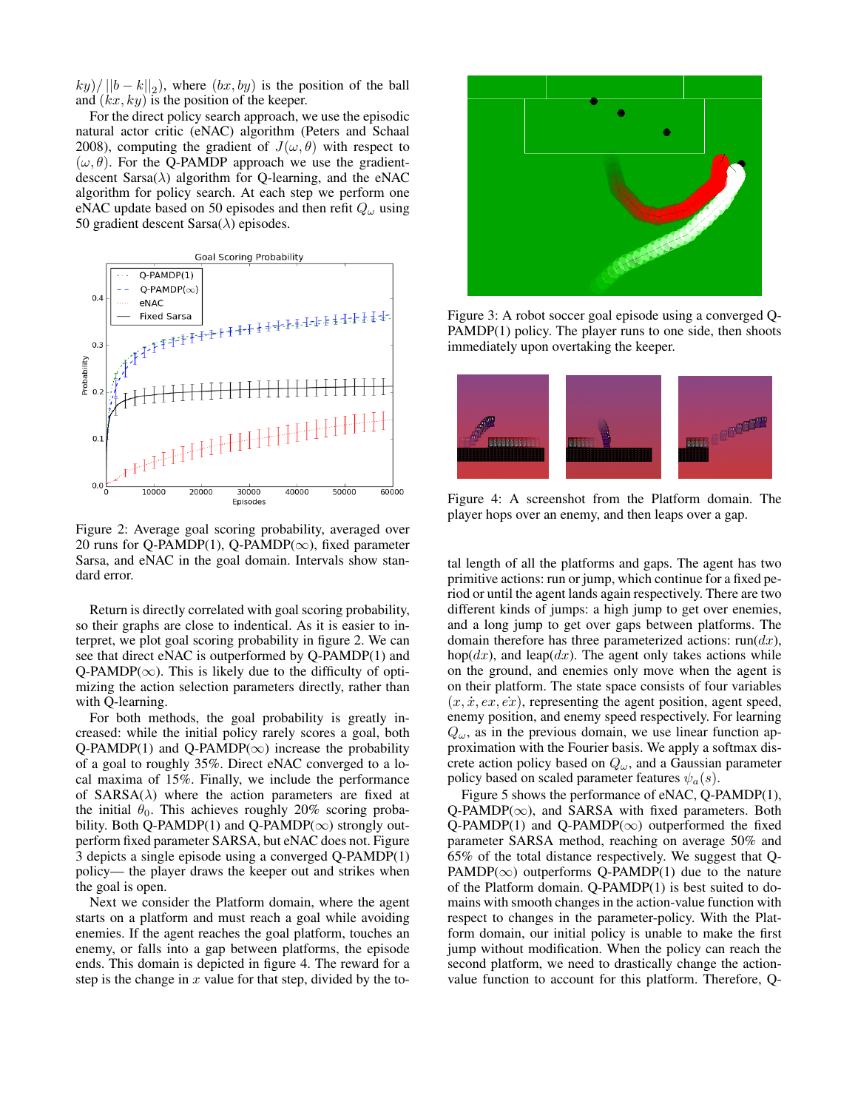$(ky)/||b - k||_2$ , where  $(bx, by)$  is the position of the ball and  $(kx, ky)$  is the position of the keeper.

For the direct policy search approach, we use the episodic natural actor critic (eNAC) algorithm (Peters and Schaal 2008), computing the gradient of  $J(\omega, \theta)$  with respect to  $(\omega, \theta)$ . For the Q-PAMDP approach we use the gradientdescent  $Sarsa(\lambda)$  algorithm for Q-learning, and the eNAC algorithm for policy search. At each step we perform one eNAC update based on 50 episodes and then refit  $Q_{\omega}$  using 50 gradient descent Sarsa $(\lambda)$  episodes.



Figure 2: Average goal scoring probability, averaged over 20 runs for Q-PAMDP(1), Q-PAMDP( $\infty$ ), fixed parameter Sarsa, and eNAC in the goal domain. Intervals show standard error.

Return is directly correlated with goal scoring probability, so their graphs are close to indentical. As it is easier to interpret, we plot goal scoring probability in figure 2. We can see that direct eNAC is outperformed by Q-PAMDP(1) and  $Q$ -PAMDP( $\infty$ ). This is likely due to the difficulty of optimizing the action selection parameters directly, rather than with Q-learning.

For both methods, the goal probability is greatly increased: while the initial policy rarely scores a goal, both Q-PAMDP(1) and Q-PAMDP( $\infty$ ) increase the probability of a goal to roughly 35%. Direct eNAC converged to a local maxima of 15%. Finally, we include the performance of  $SARSA(\lambda)$  where the action parameters are fixed at the initial  $\theta_0$ . This achieves roughly 20% scoring probability. Both Q-PAMDP(1) and Q-PAMDP( $\infty$ ) strongly outperform fixed parameter SARSA, but eNAC does not. Figure 3 depicts a single episode using a converged Q-PAMDP(1) policy— the player draws the keeper out and strikes when the goal is open.

Next we consider the Platform domain, where the agent starts on a platform and must reach a goal while avoiding enemies. If the agent reaches the goal platform, touches an enemy, or falls into a gap between platforms, the episode ends. This domain is depicted in figure 4. The reward for a step is the change in  $x$  value for that step, divided by the to-



Figure 3: A robot soccer goal episode using a converged Q-PAMDP(1) policy. The player runs to one side, then shoots immediately upon overtaking the keeper.



Figure 4: A screenshot from the Platform domain. The player hops over an enemy, and then leaps over a gap.

tal length of all the platforms and gaps. The agent has two primitive actions: run or jump, which continue for a fixed period or until the agent lands again respectively. There are two different kinds of jumps: a high jump to get over enemies, and a long jump to get over gaps between platforms. The domain therefore has three parameterized actions:  $run(dx)$ , hop( $dx$ ), and leap( $dx$ ). The agent only takes actions while on the ground, and enemies only move when the agent is on their platform. The state space consists of four variables  $(x, \dot{x}, \dot{e}x, \dot{e}x)$ , representing the agent position, agent speed, enemy position, and enemy speed respectively. For learning  $Q_{\omega}$ , as in the previous domain, we use linear function approximation with the Fourier basis. We apply a softmax discrete action policy based on  $Q_{\omega}$ , and a Gaussian parameter policy based on scaled parameter features  $\psi_a(s)$ .

Figure 5 shows the performance of eNAC, Q-PAMDP(1), Q-PAMDP( $\infty$ ), and SARSA with fixed parameters. Both Q-PAMDP(1) and Q-PAMDP( $\infty$ ) outperformed the fixed parameter SARSA method, reaching on average 50% and 65% of the total distance respectively. We suggest that Q-PAMDP( $\infty$ ) outperforms Q-PAMDP(1) due to the nature of the Platform domain. Q-PAMDP(1) is best suited to domains with smooth changes in the action-value function with respect to changes in the parameter-policy. With the Platform domain, our initial policy is unable to make the first jump without modification. When the policy can reach the second platform, we need to drastically change the actionvalue function to account for this platform. Therefore, Q-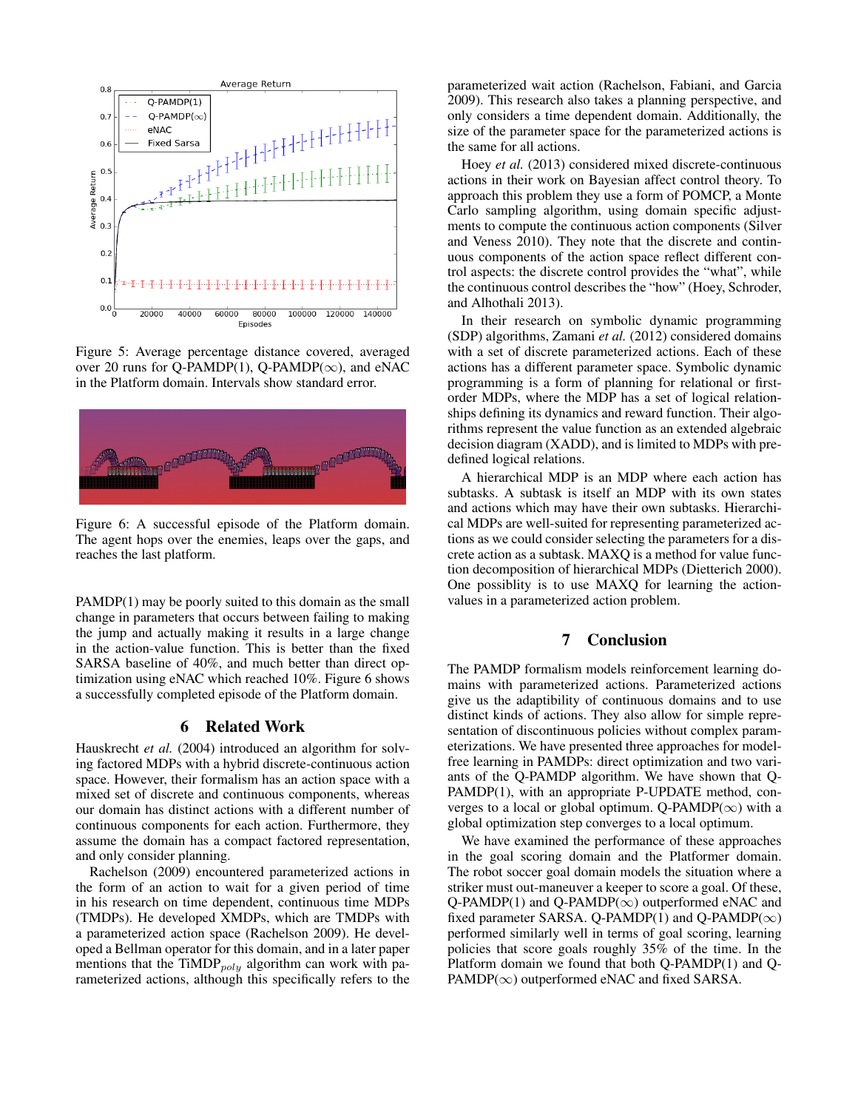

Figure 5: Average percentage distance covered, averaged over 20 runs for Q-PAMDP(1), Q-PAMDP( $\infty$ ), and eNAC in the Platform domain. Intervals show standard error.



Figure 6: A successful episode of the Platform domain. The agent hops over the enemies, leaps over the gaps, and reaches the last platform.

PAMDP(1) may be poorly suited to this domain as the small change in parameters that occurs between failing to making the jump and actually making it results in a large change in the action-value function. This is better than the fixed SARSA baseline of 40%, and much better than direct optimization using eNAC which reached 10%. Figure 6 shows a successfully completed episode of the Platform domain.

## 6 Related Work

Hauskrecht *et al.* (2004) introduced an algorithm for solving factored MDPs with a hybrid discrete-continuous action space. However, their formalism has an action space with a mixed set of discrete and continuous components, whereas our domain has distinct actions with a different number of continuous components for each action. Furthermore, they assume the domain has a compact factored representation, and only consider planning.

Rachelson (2009) encountered parameterized actions in the form of an action to wait for a given period of time in his research on time dependent, continuous time MDPs (TMDPs). He developed XMDPs, which are TMDPs with a parameterized action space (Rachelson 2009). He developed a Bellman operator for this domain, and in a later paper mentions that the TiMDP $_{poly}$  algorithm can work with parameterized actions, although this specifically refers to the parameterized wait action (Rachelson, Fabiani, and Garcia 2009). This research also takes a planning perspective, and only considers a time dependent domain. Additionally, the size of the parameter space for the parameterized actions is the same for all actions.

Hoey *et al.* (2013) considered mixed discrete-continuous actions in their work on Bayesian affect control theory. To approach this problem they use a form of POMCP, a Monte Carlo sampling algorithm, using domain specific adjustments to compute the continuous action components (Silver and Veness 2010). They note that the discrete and continuous components of the action space reflect different control aspects: the discrete control provides the "what", while the continuous control describes the "how" (Hoey, Schroder, and Alhothali 2013).

In their research on symbolic dynamic programming (SDP) algorithms, Zamani *et al.* (2012) considered domains with a set of discrete parameterized actions. Each of these actions has a different parameter space. Symbolic dynamic programming is a form of planning for relational or firstorder MDPs, where the MDP has a set of logical relationships defining its dynamics and reward function. Their algorithms represent the value function as an extended algebraic decision diagram (XADD), and is limited to MDPs with predefined logical relations.

A hierarchical MDP is an MDP where each action has subtasks. A subtask is itself an MDP with its own states and actions which may have their own subtasks. Hierarchical MDPs are well-suited for representing parameterized actions as we could consider selecting the parameters for a discrete action as a subtask. MAXQ is a method for value function decomposition of hierarchical MDPs (Dietterich 2000). One possiblity is to use MAXQ for learning the actionvalues in a parameterized action problem.

## 7 Conclusion

The PAMDP formalism models reinforcement learning domains with parameterized actions. Parameterized actions give us the adaptibility of continuous domains and to use distinct kinds of actions. They also allow for simple representation of discontinuous policies without complex parameterizations. We have presented three approaches for modelfree learning in PAMDPs: direct optimization and two variants of the Q-PAMDP algorithm. We have shown that Q-PAMDP(1), with an appropriate P-UPDATE method, converges to a local or global optimum. Q-PAMDP( $\infty$ ) with a global optimization step converges to a local optimum.

We have examined the performance of these approaches in the goal scoring domain and the Platformer domain. The robot soccer goal domain models the situation where a striker must out-maneuver a keeper to score a goal. Of these, Q-PAMDP(1) and Q-PAMDP( $\infty$ ) outperformed eNAC and fixed parameter SARSA. Q-PAMDP(1) and Q-PAMDP( $\infty$ ) performed similarly well in terms of goal scoring, learning policies that score goals roughly 35% of the time. In the Platform domain we found that both Q-PAMDP(1) and Q- $PAMDP(\infty)$  outperformed eNAC and fixed SARSA.